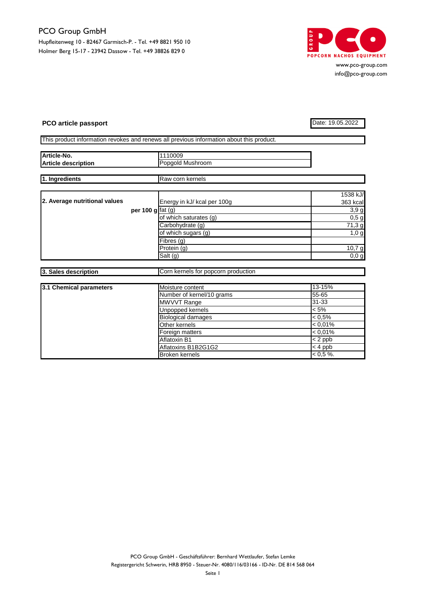

www.pco-group.com info@pco-group.com

## **PCO article passport** Date: 19.05.2022

|  | This product information revokes and renews all previous information about this product. |  |  |  |  |
|--|------------------------------------------------------------------------------------------|--|--|--|--|

| Article-No.                   |                     | 1110009                                      |                     |
|-------------------------------|---------------------|----------------------------------------------|---------------------|
| <b>Article description</b>    |                     | Popgold Mushroom                             |                     |
|                               |                     |                                              |                     |
| 1. Ingredients                |                     | Raw corn kernels                             |                     |
|                               |                     |                                              |                     |
|                               |                     |                                              | 1538 kJ/            |
| 2. Average nutritional values |                     | Energy in kJ/ kcal per 100g                  | 363 kcal            |
|                               | per 100 $g$ fat (g) |                                              | 3,9g                |
|                               |                     | of which saturates (g)                       | $0,5$ g             |
|                               |                     | Carbohydrate (g)                             | $\overline{71,3}$ g |
|                               |                     | of which sugars (g)                          | 1,0 g               |
|                               |                     | Fibres (g)                                   |                     |
|                               |                     | Protein(g)                                   | 10,7g               |
|                               |                     | Salt (g)                                     | 0,0,g               |
|                               |                     |                                              |                     |
| 3. Sales description          |                     | Corn kernels for popcorn production          |                     |
|                               |                     |                                              |                     |
| 3.1 Chemical parameters       |                     | Moisture content                             | 13-15%              |
|                               |                     | Number of kernel/10 grams                    | 55-65               |
|                               |                     | MWVVT Range                                  | $31 - 33$           |
|                               |                     | Unpopped kernels                             | $< 5\%$             |
|                               |                     | <b>Biological damages</b>                    | $< 0.5\%$           |
|                               |                     | Other kernels                                | $< 0.01\%$          |
|                               |                     | Foreign matters                              | $< 0,01\%$          |
|                               |                     | Aflatoxin B1                                 | $\sqrt{2}$ ppb      |
|                               |                     |                                              | $< 4$ ppb           |
|                               |                     | Aflatoxins B1B2G1G2<br><b>Broken kernels</b> |                     |
|                               |                     |                                              | $< 0.5 \%$ .        |